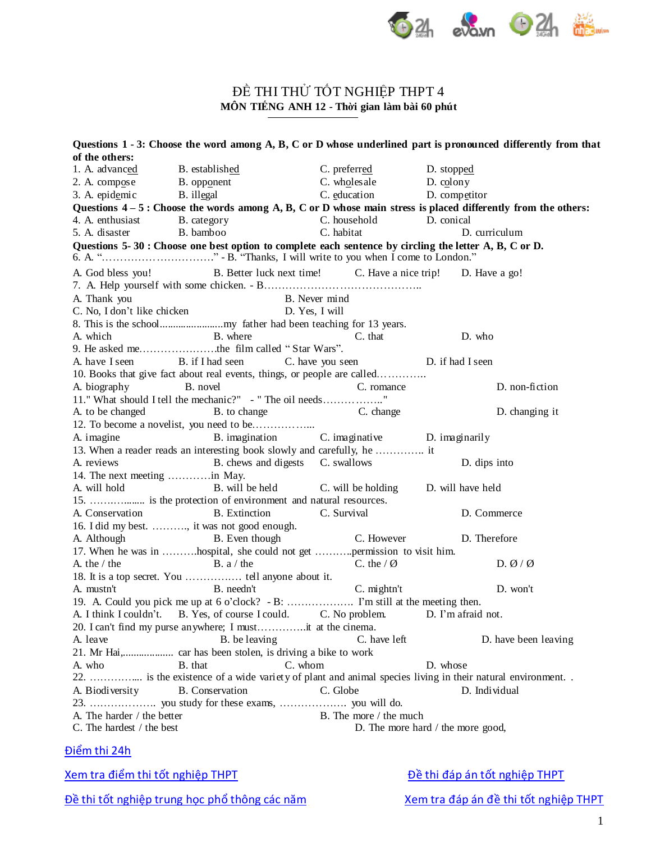

## ĐỀ THI THỦ TỐT NGHIỆP THPT 4 **MÔN TIẾNG ANH 12 - Thời gian làm bài 60 phút**

| of the others:               | Questions 1 - 3: Choose the word among A, B, C or D whose underlined part is pronounced differently from that  |                                              |                    |                                  |  |  |
|------------------------------|----------------------------------------------------------------------------------------------------------------|----------------------------------------------|--------------------|----------------------------------|--|--|
| 1. A. advanced               | B. established                                                                                                 | C. preferred                                 | D. stopped         |                                  |  |  |
|                              | 2. A. comp <u>o</u> se B. opp <u>o</u> nent                                                                    | C. wholesale                                 | D. colony          |                                  |  |  |
| 3. A. epidemic B. illegal    |                                                                                                                | C. education                                 | D. competitor      |                                  |  |  |
|                              | Questions $4-5$ : Choose the words among A, B, C or D whose main stress is placed differently from the others: |                                              |                    |                                  |  |  |
| 4. A. enthusiast             |                                                                                                                | C. household D. conical                      |                    |                                  |  |  |
| 5. A. disaster               | B. category<br>B. bamboo<br>B. bamboo                                                                          | C. habitat                                   | D. curriculum      |                                  |  |  |
|                              | Questions 5-30 : Choose one best option to complete each sentence by circling the letter A, B, C or D.         |                                              |                    |                                  |  |  |
|                              |                                                                                                                |                                              |                    |                                  |  |  |
|                              | A. God bless you! B. Better luck next time! C. Have a nice trip! D. Have a go!                                 |                                              |                    |                                  |  |  |
| A. Thank you                 |                                                                                                                | B. Never mind                                |                    |                                  |  |  |
|                              | A. I nank you<br>C. No, I don't like chicken                                                                   | D. Yes, I will                               |                    |                                  |  |  |
|                              |                                                                                                                |                                              |                    |                                  |  |  |
| A. which                     | B. where                                                                                                       | C. that                                      | D. who             |                                  |  |  |
|                              | 9. He asked methe film called "Star Wars".                                                                     |                                              |                    |                                  |  |  |
|                              | A. have I seen B. if I had seen C. have you seen D. if had I seen                                              |                                              |                    |                                  |  |  |
|                              | 10. Books that give fact about real events, things, or people are called                                       |                                              |                    |                                  |  |  |
| A. biography B. novel        |                                                                                                                | C. romance                                   |                    | D. non-fiction                   |  |  |
|                              | 11." What should I tell the mechanic?" - " The oil needs"                                                      |                                              |                    |                                  |  |  |
| A. to be changed             | B. to change C. change                                                                                         |                                              |                    | D. changing it                   |  |  |
|                              |                                                                                                                |                                              |                    |                                  |  |  |
| A. imagine                   |                                                                                                                | B. imagination C. imaginative D. imaginarily |                    |                                  |  |  |
|                              | 13. When a reader reads an interesting book slowly and carefully, he  it                                       |                                              |                    |                                  |  |  |
| A. reviews                   | B. chews and digests C. swallows                                                                               |                                              | D. dips into       |                                  |  |  |
| 14. The next meeting in May. |                                                                                                                |                                              |                    |                                  |  |  |
| A. will hold                 | B. will be held C. will be holding D. will have held                                                           |                                              |                    |                                  |  |  |
|                              | 15.  is the protection of environment and natural resources.                                                   |                                              |                    |                                  |  |  |
| A. Conservation              | <b>B.</b> Extinction                                                                                           | C. Survival                                  | D. Commerce        |                                  |  |  |
|                              | 16. I did my best. , it was not good enough.                                                                   |                                              |                    |                                  |  |  |
| A. Although                  | B. Even though                                                                                                 | C. However                                   | D. Therefore       |                                  |  |  |
|                              | 17. When he was in hospital, she could not get permission to visit him.                                        |                                              |                    |                                  |  |  |
| A. the $/$ the               | $\mathbf{B}$ . a / the                                                                                         | C. the $\sqrt{Q}$                            |                    | D. $\varnothing$ / $\varnothing$ |  |  |
|                              |                                                                                                                |                                              |                    |                                  |  |  |
| A. mustn't                   | <b>Example 1</b> B. needn't                                                                                    | $C.$ mightn't                                |                    | D. won't                         |  |  |
|                              |                                                                                                                |                                              |                    |                                  |  |  |
|                              | A. I think I couldn't. B. Yes, of course I could.                                                              | C. No problem.                               | D. I'm afraid not. |                                  |  |  |
|                              | 20. I can't find my purse anywhere; I mustit at the cinema.                                                    |                                              |                    |                                  |  |  |
| A. leave                     | B. be leaving                                                                                                  | C. have left                                 |                    | D. have been leaving             |  |  |
|                              |                                                                                                                |                                              |                    |                                  |  |  |
| A. who                       | C. whom<br>B. that                                                                                             |                                              | D. whose           |                                  |  |  |
|                              | 22.  is the existence of a wide variety of plant and animal species living in their natural environment. .     |                                              |                    |                                  |  |  |
| A. Biodiversity              | <b>B.</b> Conservation                                                                                         | C. Globe                                     | D. Individual      |                                  |  |  |
|                              |                                                                                                                |                                              |                    |                                  |  |  |
| A. The harder / the better   |                                                                                                                | B. The more / the much                       |                    |                                  |  |  |
| C. The hardest / the best    |                                                                                                                | D. The more hard / the more good,            |                    |                                  |  |  |

## Điể[m thi 24h](http://diemthi.24h.com.vn)

Đề thi tốt nghiệp trung học phổ [thông các năm](http://diemthi.24h.com.vn/dap-an-de-thi-thpt/) [Xem tra đáp án đề](http://diemthi.24h.com.vn/dap-an-de-thi-thpt/) thi tốt nghiệp THPT

[Xem tra điể](http://diemthi.24h.com.vn/diem-thi-tot-nghiep-thpt/)m thi tốt nghiệp THPT **Dề [thi đáp án tố](http://diemthi.24h.com.vn/dap-an-de-thi-thpt/)t nghiệp THPT**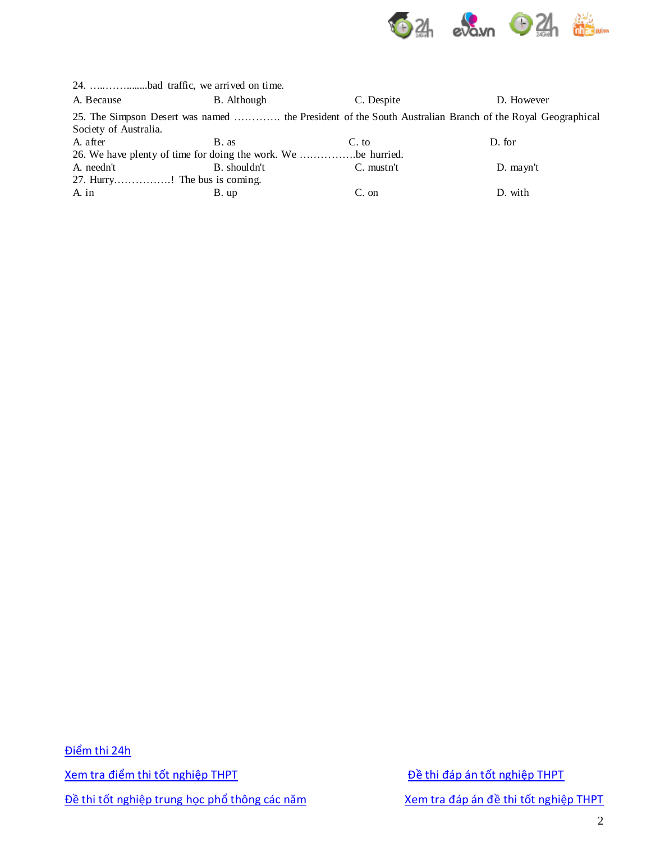

|                       | 24. bad traffic, we arrived on time.                          |            |                                                                                                          |
|-----------------------|---------------------------------------------------------------|------------|----------------------------------------------------------------------------------------------------------|
| A. Because            | B. Although                                                   | C. Despite | D. However                                                                                               |
| Society of Australia. |                                                               |            | 25. The Simpson Desert was named  the President of the South Australian Branch of the Royal Geographical |
| A. after              | B. as                                                         | C. to      | D. for                                                                                                   |
|                       | 26. We have plenty of time for doing the work. We be hurried. |            |                                                                                                          |
| A. needn't            | B. shouldn't                                                  | C. mustn't | $D.$ mayn't                                                                                              |
|                       | 27. Hurry! The bus is coming.                                 |            |                                                                                                          |
| A. in                 | B. up                                                         | $C.$ on    | D. with                                                                                                  |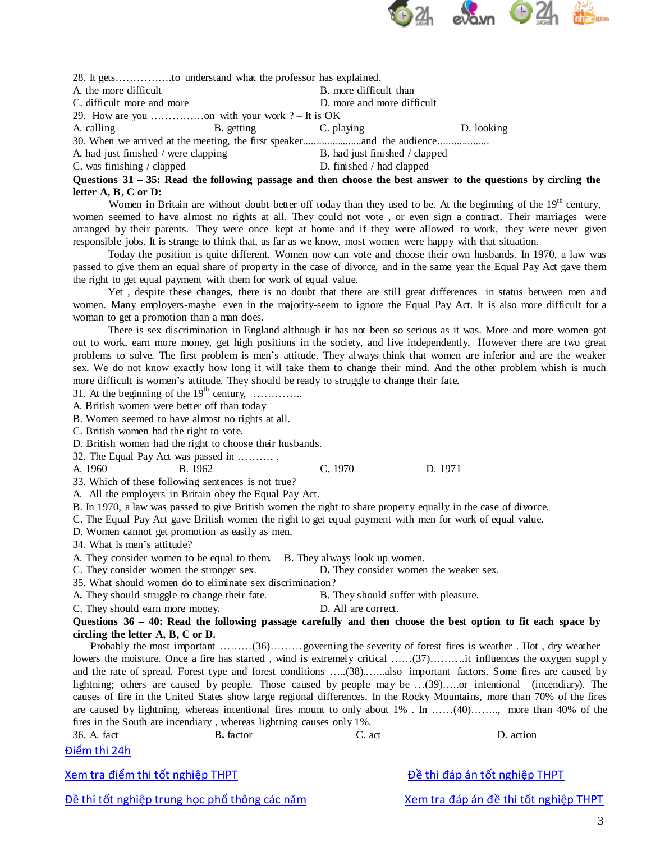

28. It gets…………….to understand what the professor has explained. A, the more difficult and the more difficult than B. more difficult than C. difficult more and more D. more and more difficult 29. How are you ……………on with your work ? – It is OK A. calling B. getting C. playing D. looking 30. When we arrived at the meeting, the first speaker......................and the audience................... A. had just finished / were clapping B. had just finished / clapped C. was finishing / clapped D. finished / had clapped

Questions  $31 - 35$ : Read the following passage and then choose the best answer to the questions by circling the **letter A, B, C or D:**

Women in Britain are without doubt better off today than they used to be. At the beginning of the 19<sup>th</sup> century, women seemed to have almost no rights at all. They could not vote , or even sign a contract. Their marriages were arranged by their parents. They were once kept at home and if they were allowed to work, they were never given responsible jobs. It is strange to think that, as far as we know, most women were happy with that situation.

Today the position is quite different. Women now can vote and choose their own husbands. In 1970, a law was passed to give them an equal share of property in the case of divorce, and in the same year the Equal Pay Act gave them the right to get equal payment with them for work of equal value.

Yet , despite these changes, there is no doubt that there are still great differences in status between men and women. Many employers-maybe even in the majority-seem to ignore the Equal Pay Act. It is also more difficult for a woman to get a promotion than a man does.

There is sex discrimination in England although it has not been so serious as it was. More and more women got out to work, earn more money, get high positions in the society, and live independently. However there are two great problems to solve. The first problem is men's attitude. They always think that women are inferior and are the weaker sex. We do not know exactly how long it will take them to change their mind. And the other problem whish is much more difficult is women's attitude. They should be ready to struggle to change their fate.

31. At the beginning of the  $19<sup>th</sup>$  century, ............

A. British women were better off than today

B. Women seemed to have almost no rights at all.

C. British women had the right to vote.

D. British women had the right to choose their husbands.

32. The Equal Pay Act was passed in ………. .

A. 1960 B. 1962 C. 1970 D. 1971

33. Which of these following sentences is not true?

A. All the employers in Britain obey the Equal Pay Act.

B. In 1970, a law was passed to give British women the right to share property equally in the case of divorce.

C. The Equal Pay Act gave British women the right to get equal payment with men for work of equal value.

D. Women cannot get promotion as easily as men.

34. What is men's attitude?

A. They consider women to be equal to them. B. They always look up women.

C. They consider women the stronger sex. D**.** They consider women the weaker sex.

35. What should women do to eliminate sex discrimination?

A**.** They should struggle to change their fate. B. They should suffer with pleasure.

C. They should earn more money. D. All are correct.

**Questions 36 – 40: Read the following passage carefully and then choose the best option to fit each space by circling the letter A, B, C or D.**

Probably the most important ………(36)………governing the severity of forest fires is weather . Hot , dry weather lowers the moisture. Once a fire has started, wind is extremely critical ……(37)………it influences the oxygen supply and the rate of spread. Forest type and forest conditions …..(38)..…..also important factors. Some fires are caused by lightning; others are caused by people. Those caused by people may be …(39)…..or intentional (incendiary). The causes of fire in the United States show large regional differences. In the Rocky Mountains, more than 70% of the fires are caused by lightning, whereas intentional fires mount to only about 1% . In ……(40)…….., more than 40% of the fires in the South are incendiary , whereas lightning causes only 1%.

| 36. A. fact<br><b>B.</b> factor |  | C. act | action |  |  |
|---------------------------------|--|--------|--------|--|--|
| Điểm thi 24h                    |  |        |        |  |  |

Xem tra điểm thi tốt nghiệp THPT **Dia that the tranh tranh that the tranh tranh tranh tranh tranh tranh tranh tranh tranh tranh tranh tranh tranh tranh tranh tranh tranh tranh tranh tranh tranh tranh tranh tranh tranh tran** 

Đề thi tốt nghiệp trung học phổ thông các năm Xem tra đáp án đề thi tốt nghiệp THPT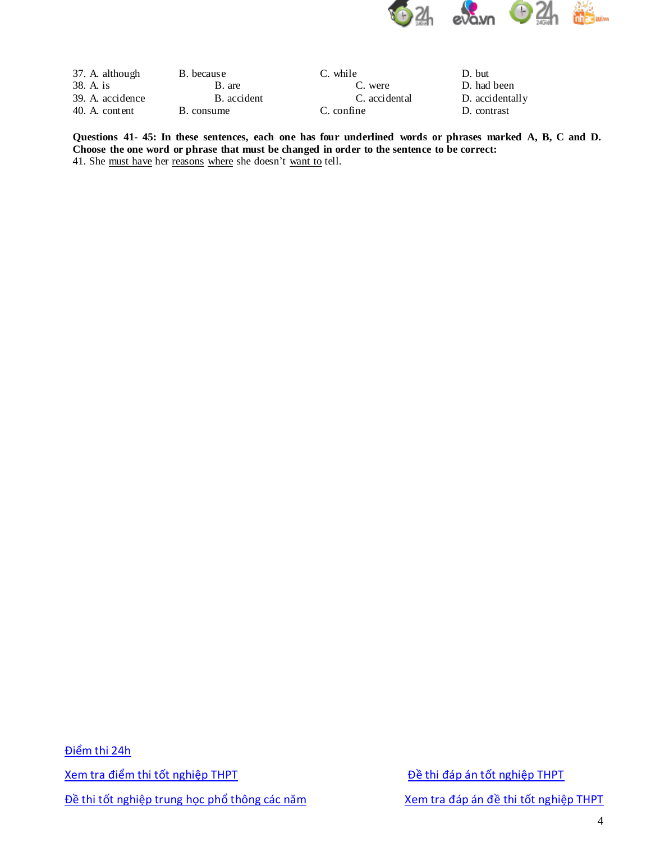

| 37. A. although  | B. because  | C. while      | D. but          |
|------------------|-------------|---------------|-----------------|
| 38. A. is        | B. are      | C. were       | D. had been     |
| 39. A. accidence | B. accident | C. accidental | D. accidentally |
| 40. A. content   | B. consume  | C. confine    | D. contrast     |

**Questions 41- 45: In these sentences, each one has four underlined words or phrases marked A, B, C and D. Choose the one word or phrase that must be changed in order to the sentence to be correct:** 41. She must have her reasons where she doesn't want to tell.

Điểm thi 24h Xem tra điểm thi tốt nghiệp THPT **Diệu thi tốt nghiệp THPT** Đề thi đáp án tốt nghiệp THPT Đề thi tốt nghiệp trung học phổ thông các năm Xem tra đáp án đề thi tốt nghiệp THPT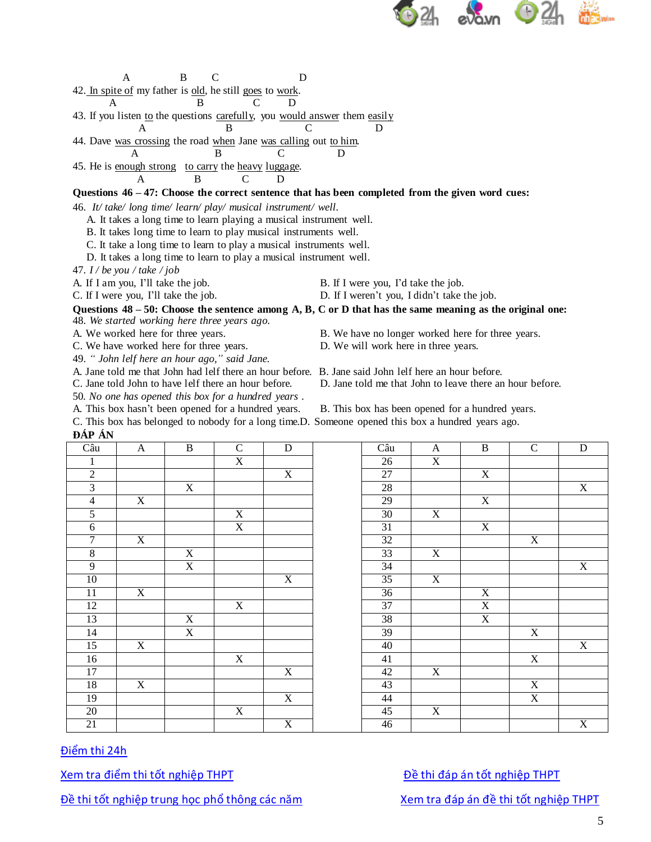

A B C D 42. In spite of my father is old, he still goes to work. A B C D

43. If you listen to the questions carefully, you would answer them easily A B C D

44. Dave was crossing the road when Jane was calling out to him.

A B C D

45. He is enough strong to carry the heavy luggage. A B C D

**Questions 46 – 47: Choose the correct sentence that has been completed from the given word cues:**

46. *It/ take/ long time/ learn/ play/ musical instrument/ well.*

A. It takes a long time to learn playing a musical instrument well.

B. It takes long time to learn to play musical instruments well.

C. It take a long time to learn to play a musical instruments well.

D. It takes a long time to learn to play a musical instrument well.

47. *I / be you / take / job*

A. If I am you, I'll take the job. B. If I were you, I'd take the job.

C. If I were you, I'll take the job. D. If I weren't you, I didn't take the job.

Questions  $48 - 50$ : Choose the sentence among A, B, C or D that has the same meaning as the original one:

48. *We started working here three years ago.*

A. We worked here for three years. B. We have no longer worked here for three years.

C. We have worked here for three years. D. We will work here in three years.

49. *" John lelf here an hour ago," said Jane.*

A. Jane told me that John had lelf there an hour before. B. Jane said John lelf here an hour before.

50*. No one has opened this box for a hundred years .*

C. Jane told John to have lelf there an hour before. D. Jane told me that John to leave there an hour before.

A. This box hasn't been opened for a hundred years. B. This box has been opened for a hundred years.

C. This box has belonged to nobody for a long time.D. Someone opened this box a hundred years ago. **ĐÁP ÁN**

| Câu             | $\mathbf{A}$   | $\, {\bf B}$   | $\mathbf C$               | ${\bf D}$      | Câu             | $\mathbf{A}$   | $\, {\bf B}$            | $\mathbf C$               | $\mathbf D$             |
|-----------------|----------------|----------------|---------------------------|----------------|-----------------|----------------|-------------------------|---------------------------|-------------------------|
| $\mathbf{1}$    |                |                | $\boldsymbol{\mathrm{X}}$ |                | 26              | $\mathbf X$    |                         |                           |                         |
| $\overline{2}$  |                |                |                           | $\mathbf X$    | $27\,$          |                | $\mathbf X$             |                           |                         |
| $\overline{3}$  |                | $\mathbf X$    |                           |                | $\overline{28}$ |                |                         |                           | X                       |
| $\overline{4}$  | $\overline{X}$ |                |                           |                | $\overline{29}$ |                | $\overline{X}$          |                           |                         |
| $\mathfrak{S}$  |                |                | $\boldsymbol{\mathrm{X}}$ |                | $30\,$          | $\mathbf X$    |                         |                           |                         |
| 6               |                |                | X                         |                | 31              |                | $\mathbf X$             |                           |                         |
| $\overline{7}$  | $\overline{X}$ |                |                           |                | $\overline{32}$ |                |                         | X                         |                         |
| $8\,$           |                | $\mathbf X$    |                           |                | $\overline{33}$ | $\mathbf X$    |                         |                           |                         |
| 9               |                | $\overline{X}$ |                           |                | 34              |                |                         |                           | $\overline{X}$          |
| 10              |                |                |                           | $\overline{X}$ | 35              | $\overline{X}$ |                         |                           |                         |
| $11\,$          | $\overline{X}$ |                |                           |                | $\overline{36}$ |                | $\mathbf X$             |                           |                         |
| 12              |                |                | $\boldsymbol{\mathrm{X}}$ |                | $37\,$          |                | $\overline{\textbf{X}}$ |                           |                         |
| 13              |                | $\mathbf X$    |                           |                | 38              |                | $\overline{X}$          |                           |                         |
| 14              |                | $\overline{X}$ |                           |                | 39              |                |                         | $\mathbf X$               |                         |
| 15              | X              |                |                           |                | 40              |                |                         |                           | X                       |
| 16              |                |                | $\mathbf X$               |                | 41              |                |                         | $\mathbf X$               |                         |
| $17\,$          |                |                |                           | $\mathbf X$    | 42              | $\mathbf X$    |                         |                           |                         |
| $\overline{18}$ | X              |                |                           |                | 43              |                |                         | $\boldsymbol{\mathrm{X}}$ |                         |
| 19              |                |                |                           | $\mathbf X$    | 44              |                |                         | $\mathbf X$               |                         |
| $20\,$          |                |                | $\boldsymbol{\mathrm{X}}$ |                | 45              | $\mathbf X$    |                         |                           |                         |
| 21              |                |                |                           | $\overline{X}$ | 46              |                |                         |                           | $\overline{\mathbf{x}}$ |

| $\ddot{\phantom{1}}$                   |                |                |                |                |                 |                           |                |                         |                           |
|----------------------------------------|----------------|----------------|----------------|----------------|-----------------|---------------------------|----------------|-------------------------|---------------------------|
| $\frac{2\hat{a}u}{1}$<br>$\frac{2}{3}$ | $\mathbf{A}$   | $\, {\bf B}$   | $\mathbf C$    | ${\bf D}$      | Câu             | $\mathbf{A}$              | $\, {\bf B}$   | ${\bf C}$               | ${\bf D}$                 |
|                                        |                |                | $\mathbf X$    |                | 26              | $\mathbf X$               |                |                         |                           |
|                                        |                |                |                | $\overline{X}$ | $27\,$          |                           | $\mathbf X$    |                         |                           |
|                                        |                | $\mathbf X$    |                |                | $\overline{28}$ |                           |                |                         | X                         |
| $\overline{4}$                         | $\mathbf X$    |                |                |                | $\overline{29}$ |                           | $\mathbf X$    |                         |                           |
| $\overline{5}$                         |                |                | $\mathbf X$    |                | $30\,$          | $\mathbf X$               |                |                         |                           |
| $6\,$                                  |                |                | $\overline{X}$ |                | $\overline{31}$ |                           | $\overline{X}$ |                         |                           |
| $\overline{7}$                         | $\overline{X}$ |                |                |                | $\overline{32}$ |                           |                | $\overline{\textbf{X}}$ |                           |
| $\frac{8}{9}$                          |                | $\mathbf X$    |                |                | 33              | $\mathbf X$               |                |                         |                           |
|                                        |                | $\overline{X}$ |                |                | $\overline{34}$ |                           |                |                         | $\mathbf X$               |
| $10\,$                                 |                |                |                | $\overline{X}$ | $\overline{35}$ | $\boldsymbol{\mathrm{X}}$ |                |                         |                           |
|                                        | X              |                |                |                | 36              |                           | $\mathbf X$    |                         |                           |
| $\frac{11}{12}$                        |                |                | $\mathbf X$    |                | 37              |                           | $\mathbf X$    |                         |                           |
|                                        |                | $\mathbf X$    |                |                | 38              |                           | $\overline{X}$ |                         |                           |
|                                        |                | $\mathbf X$    |                |                | 39              |                           |                | $\mathbf X$             |                           |
| $\frac{13}{14}$ $\frac{15}{15}$        | X              |                |                |                | 40              |                           |                |                         | $\boldsymbol{\mathrm{X}}$ |
| $\frac{16}{17}$ $\frac{18}{18}$        |                |                | $\mathbf X$    |                | 41              |                           |                | $\mathbf X$             |                           |
|                                        |                |                |                | $\mathbf X$    | $42\,$          | $\mathbf X$               |                |                         |                           |
|                                        | $\mathbf X$    |                |                |                | 43              |                           |                | $\overline{X}$          |                           |
|                                        |                |                |                | $\overline{X}$ | 44              |                           |                | $\overline{\textbf{X}}$ |                           |
|                                        |                |                | $\overline{X}$ |                | 45              | $\overline{X}$            |                |                         |                           |
| $\frac{19}{20}$<br>21                  |                |                |                | $\overline{X}$ | 46              |                           |                |                         | $\mathbf X$               |
|                                        |                |                |                |                |                 |                           |                |                         |                           |

## Điểm thi 24h

Xem tra điểm thi tốt nghiệp THPT **Diệu thay bê thi đáp án tốt nghiệp THPT** 

Đề thi tốt nghiệp trung học phổ thông các năm Xem tra đáp án đề thi tốt nghiệp THPT